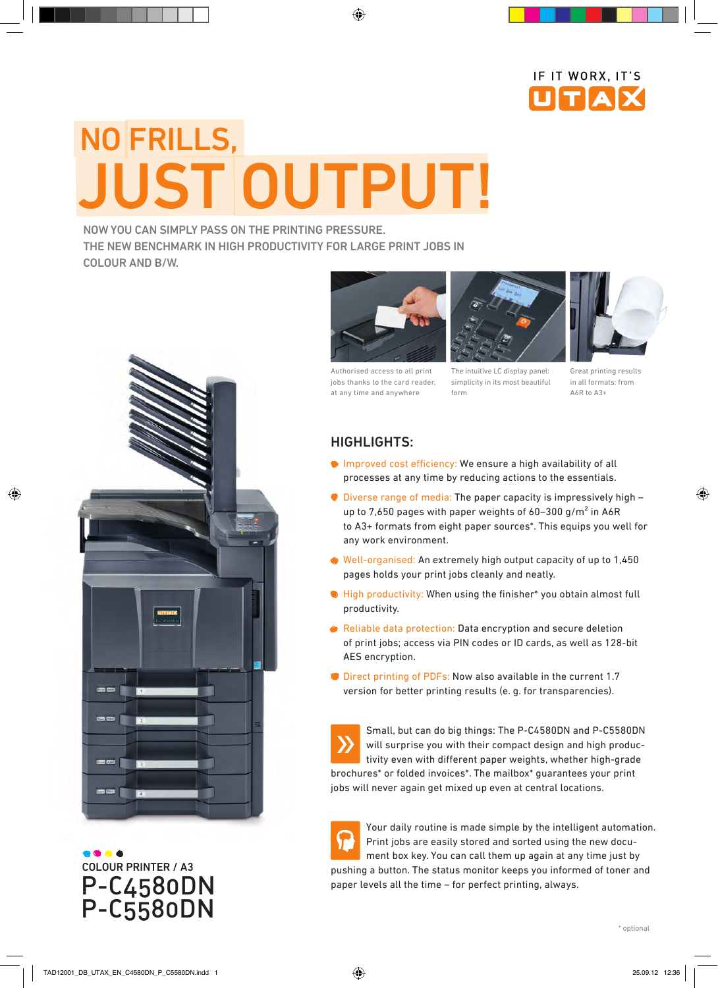

# NO FRILLS, JUST OUTPUT!

NOW YOU CAN SIMPLY PASS ON THE PRINTING PRESSURE. THE NEW BENCHMARK IN HIGH PRODUCTIVITY FOR LARGE PRINT JOBS IN COLOUR AND B/W.



COLOUR PRINTER / A3 P-C4580DN P-C5580DN



Authorised access to all print jobs thanks to the card reader, at any time and anywhere



simplicity in its most beautiful



Great printing results in all formats: from A6R to A3+

#### HIGHLIGHTS:

Improved cost efficiency: We ensure a high availability of all processes at any time by reducing actions to the essentials.

form

- Diverse range of media: The paper capacity is impressively high up to 7,650 pages with paper weights of 60–300 g/m<sup>2</sup> in A6R to A3+ formats from eight paper sources\*. This equips you well for any work environment.
- Well-organised: An extremely high output capacity of up to 1,450 pages holds your print jobs cleanly and neatly.
- High productivity: When using the finisher\* you obtain almost full productivity.
- Reliable data protection: Data encryption and secure deletion of print jobs; access via PIN codes or ID cards, as well as 128-bit AES encryption.
- Direct printing of PDFs: Now also available in the current 1.7 version for better printing results (e. g. for transparencies).

Small, but can do big things: The P-C4580DN and P-C5580DN will surprise you with their compact design and high productivity even with different paper weights, whether high-grade brochures\* or folded invoices\*. The mailbox\* guarantees your print jobs will never again get mixed up even at central locations.

Your daily routine is made simple by the intelligent automation. Print jobs are easily stored and sorted using the new document box key. You can call them up again at any time just by pushing a button. The status monitor keeps you informed of toner and paper levels all the time – for perfect printing, always.